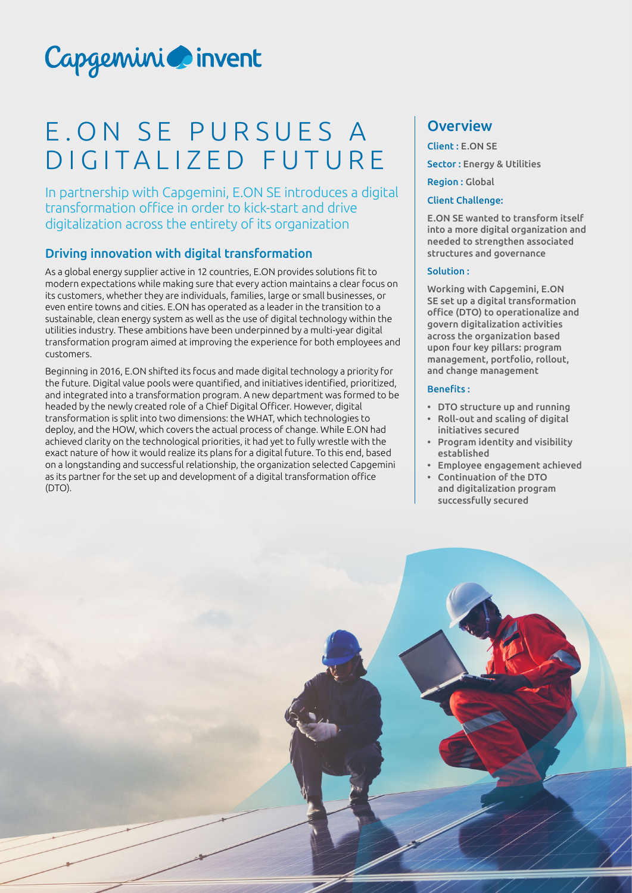# Capgemini invent

## E.ON SE PURSUES A DIGITALIZED FUTURE

In partnership with Capgemini, E.ON SE introduces a digital transformation office in order to kick-start and drive digitalization across the entirety of its organization

#### Driving innovation with digital transformation

As a global energy supplier active in 12 countries, E.ON provides solutions fit to modern expectations while making sure that every action maintains a clear focus on its customers, whether they are individuals, families, large or small businesses, or even entire towns and cities. E.ON has operated as a leader in the transition to a sustainable, clean energy system as well as the use of digital technology within the utilities industry. These ambitions have been underpinned by a multi-year digital transformation program aimed at improving the experience for both employees and customers.

Beginning in 2016, E.ON shifted its focus and made digital technology a priority for the future. Digital value pools were quantified, and initiatives identified, prioritized, and integrated into a transformation program. A new department was formed to be headed by the newly created role of a Chief Digital Officer. However, digital transformation is split into two dimensions: the WHAT, which technologies to deploy, and the HOW, which covers the actual process of change. While E.ON had achieved clarity on the technological priorities, it had yet to fully wrestle with the exact nature of how it would realize its plans for a digital future. To this end, based on a longstanding and successful relationship, the organization selected Capgemini as its partner for the set up and development of a digital transformation office (DTO).

## **Overview**

Client : E.ON SE Sector : Energy & Utilities Region : Global

#### Client Challenge:

E.ON SE wanted to transform itself into a more digital organization and needed to strengthen associated structures and governance

#### Solution :

Working with Capgemini, E.ON SE set up a digital transformation office (DTO) to operationalize and govern digitalization activities across the organization based upon four key pillars: program management, portfolio, rollout, and change management

#### Benefits :

- DTO structure up and running
- Roll-out and scaling of digital initiatives secured
- Program identity and visibility established
- Employee engagement achieved
- Continuation of the DTO and digitalization program successfully secured

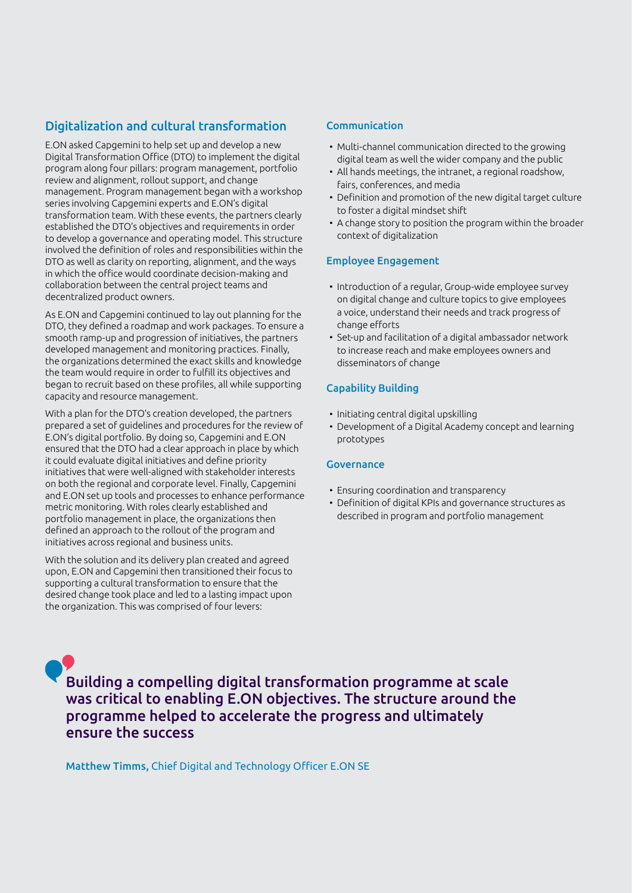#### Digitalization and cultural transformation

E.ON asked Capgemini to help set up and develop a new Digital Transformation Office (DTO) to implement the digital program along four pillars: program management, portfolio review and alignment, rollout support, and change management. Program management began with a workshop series involving Capgemini experts and E.ON's digital transformation team. With these events, the partners clearly established the DTO's objectives and requirements in order to develop a governance and operating model. This structure involved the definition of roles and responsibilities within the DTO as well as clarity on reporting, alignment, and the ways in which the office would coordinate decision-making and collaboration between the central project teams and decentralized product owners.

As E.ON and Capgemini continued to lay out planning for the DTO, they defined a roadmap and work packages. To ensure a smooth ramp-up and progression of initiatives, the partners developed management and monitoring practices. Finally, the organizations determined the exact skills and knowledge the team would require in order to fulfill its objectives and began to recruit based on these profiles, all while supporting capacity and resource management.

With a plan for the DTO's creation developed, the partners prepared a set of guidelines and procedures for the review of E.ON's digital portfolio. By doing so, Capgemini and E.ON ensured that the DTO had a clear approach in place by which it could evaluate digital initiatives and define priority initiatives that were well-aligned with stakeholder interests on both the regional and corporate level. Finally, Capgemini and E.ON set up tools and processes to enhance performance metric monitoring. With roles clearly established and portfolio management in place, the organizations then defined an approach to the rollout of the program and initiatives across regional and business units.

With the solution and its delivery plan created and agreed upon, E.ON and Capgemini then transitioned their focus to supporting a cultural transformation to ensure that the desired change took place and led to a lasting impact upon the organization. This was comprised of four levers:

#### Communication

- Multi-channel communication directed to the growing digital team as well the wider company and the public
- All hands meetings, the intranet, a regional roadshow, fairs, conferences, and media
- Definition and promotion of the new digital target culture to foster a digital mindset shift
- A change story to position the program within the broader context of digitalization

#### Employee Engagement

- Introduction of a regular, Group-wide employee survey on digital change and culture topics to give employees a voice, understand their needs and track progress of change efforts
- Set-up and facilitation of a digital ambassador network to increase reach and make employees owners and disseminators of change

#### Capability Building

- Initiating central digital upskilling
- Development of a Digital Academy concept and learning prototypes

#### Governance

- Ensuring coordination and transparency
- Definition of digital KPIs and governance structures as described in program and portfolio management

Building a compelling digital transformation programme at scale was critical to enabling E.ON objectives. The structure around the programme helped to accelerate the progress and ultimately ensure the success

Matthew Timms, Chief Digital and Technology Officer E.ON SE